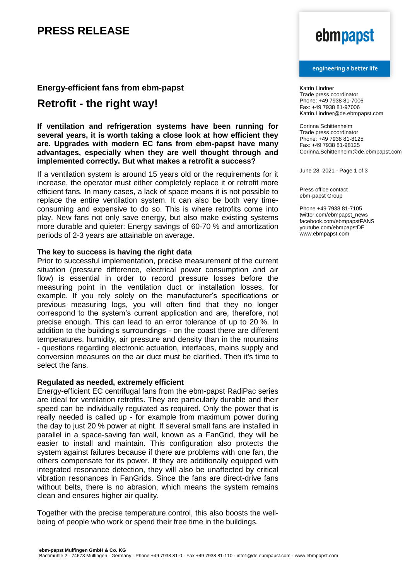## **PRESS RELEASE**

### **Energy-efficient fans from ebm-papst**

### **Retrofit - the right way!**

#### **If ventilation and refrigeration systems have been running for several years, it is worth taking a close look at how efficient they are. Upgrades with modern EC fans from ebm-papst have many advantages, especially when they are well thought through and implemented correctly. But what makes a retrofit a success?**

If a ventilation system is around 15 years old or the requirements for it increase, the operator must either completely replace it or retrofit more efficient fans. In many cases, a lack of space means it is not possible to replace the entire ventilation system. It can also be both very timeconsuming and expensive to do so. This is where retrofits come into play. New fans not only save energy, but also make existing systems more durable and quieter: Energy savings of 60-70 % and amortization periods of 2-3 years are attainable on average.

### **The key to success is having the right data**

Prior to successful implementation, precise measurement of the current situation (pressure difference, electrical power consumption and air flow) is essential in order to record pressure losses before the measuring point in the ventilation duct or installation losses, for example. If you rely solely on the manufacturer's specifications or previous measuring logs, you will often find that they no longer correspond to the system's current application and are, therefore, not precise enough. This can lead to an error tolerance of up to 20 %. In addition to the building's surroundings - on the coast there are different temperatures, humidity, air pressure and density than in the mountains - questions regarding electronic actuation, interfaces, mains supply and conversion measures on the air duct must be clarified. Then it's time to select the fans.

#### **Regulated as needed, extremely efficient**

Energy-efficient EC centrifugal fans from the ebm-papst RadiPac series are ideal for ventilation retrofits. They are particularly durable and their speed can be individually regulated as required. Only the power that is really needed is called up - for example from maximum power during the day to just 20 % power at night. If several small fans are installed in parallel in a space-saving fan wall, known as a FanGrid, they will be easier to install and maintain. This configuration also protects the system against failures because if there are problems with one fan, the others compensate for its power. If they are additionally equipped with integrated resonance detection, they will also be unaffected by critical vibration resonances in FanGrids. Since the fans are direct-drive fans without belts, there is no abrasion, which means the system remains clean and ensures higher air quality.

Together with the precise temperature control, this also boosts the wellbeing of people who work or spend their free time in the buildings.

# ebmpapst

#### engineering a better life

Katrin Lindner Trade press coordinator Phone: +49 7938 81-7006 Fax: +49 7938 81-97006 Katrin.Lindner@de.ebmpapst.com

Corinna Schittenhelm Trade press coordinator Phone: +49 7938 81-8125 Fax: +49 7938 81-98125 Corinna.Schittenhelm@de.ebmpapst.com

June 28, 2021 - Page 1 of 3

Press office contact ebm-papst Group

Phone +49 7938 81-7105 twitter.com/ebmpapst\_news facebook.com/ebmpapstFANS youtube.com/ebmpapstDE www.ebmpapst.com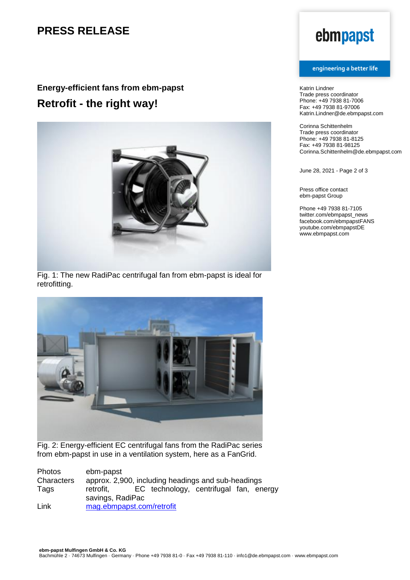## **PRESS RELEASE**

## **Energy-efficient fans from ebm-papst Retrofit - the right way!**



Fig. 1: The new RadiPac centrifugal fan from ebm-papst is ideal for retrofitting.



Fig. 2: Energy-efficient EC centrifugal fans from the RadiPac series from ebm-papst in use in a ventilation system, here as a FanGrid.

| Photos     | ebm-papst                                          |  |                                        |  |  |  |
|------------|----------------------------------------------------|--|----------------------------------------|--|--|--|
| Characters | approx. 2,900, including headings and sub-headings |  |                                        |  |  |  |
| Tags       | retrofit,                                          |  | EC technology, centrifugal fan, energy |  |  |  |
|            | savings, RadiPac                                   |  |                                        |  |  |  |
| Link       | mag.ebmpapst.com/retrofit                          |  |                                        |  |  |  |

# ebmpapst

#### engineering a better life

Katrin Lindner Trade press coordinator Phone: +49 7938 81-7006 Fax: +49 7938 81-97006 Katrin.Lindner@de.ebmpapst.com

Corinna Schittenhelm Trade press coordinator Phone: +49 7938 81-8125 Fax: +49 7938 81-98125 Corinna.Schittenhelm@de.ebmpapst.com

June 28, 2021 - Page 2 of 3

Press office contact ebm-papst Group

Phone +49 7938 81-7105 twitter.com/ebmpapst\_news facebook.com/ebmpapstFANS youtube.com/ebmpapstDE www.ebmpapst.com